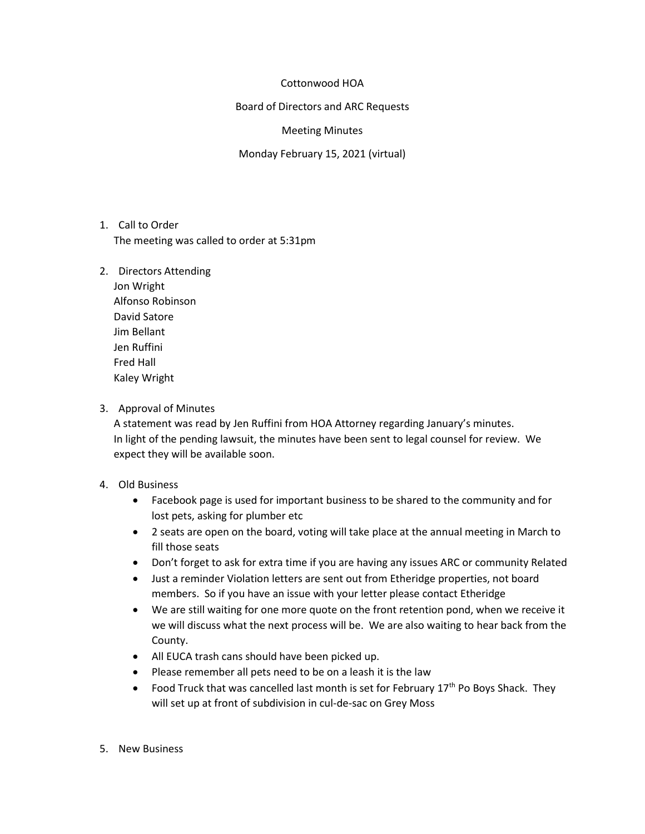## Cottonwood HOA

Board of Directors and ARC Requests

## Meeting Minutes

Monday February 15, 2021 (virtual)

- 1. Call to Order The meeting was called to order at 5:31pm
- 2. Directors Attending
	- Jon Wright Alfonso Robinson David Satore Jim Bellant Jen Ruffini Fred Hall Kaley Wright
- 3. Approval of Minutes

A statement was read by Jen Ruffini from HOA Attorney regarding January's minutes. In light of the pending lawsuit, the minutes have been sent to legal counsel for review. We expect they will be available soon.

- 4. Old Business
	- Facebook page is used for important business to be shared to the community and for lost pets, asking for plumber etc
	- 2 seats are open on the board, voting will take place at the annual meeting in March to fill those seats
	- Don't forget to ask for extra time if you are having any issues ARC or community Related
	- Just a reminder Violation letters are sent out from Etheridge properties, not board members. So if you have an issue with your letter please contact Etheridge
	- We are still waiting for one more quote on the front retention pond, when we receive it we will discuss what the next process will be. We are also waiting to hear back from the County.
	- All EUCA trash cans should have been picked up.
	- Please remember all pets need to be on a leash it is the law
	- Food Truck that was cancelled last month is set for February  $17<sup>th</sup>$  Po Boys Shack. They will set up at front of subdivision in cul-de-sac on Grey Moss
- 5. New Business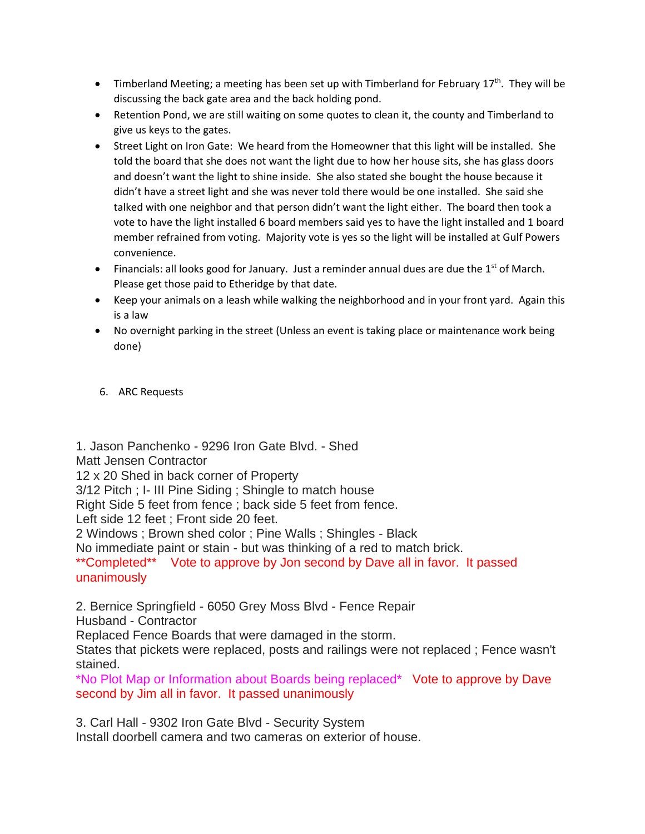- Timberland Meeting; a meeting has been set up with Timberland for February  $17<sup>th</sup>$ . They will be discussing the back gate area and the back holding pond.
- Retention Pond, we are still waiting on some quotes to clean it, the county and Timberland to give us keys to the gates.
- Street Light on Iron Gate: We heard from the Homeowner that this light will be installed. She told the board that she does not want the light due to how her house sits, she has glass doors and doesn't want the light to shine inside. She also stated she bought the house because it didn't have a street light and she was never told there would be one installed. She said she talked with one neighbor and that person didn't want the light either. The board then took a vote to have the light installed 6 board members said yes to have the light installed and 1 board member refrained from voting. Majority vote is yes so the light will be installed at Gulf Powers convenience.
- Financials: all looks good for January. Just a reminder annual dues are due the  $1<sup>st</sup>$  of March. Please get those paid to Etheridge by that date.
- Keep your animals on a leash while walking the neighborhood and in your front yard. Again this is a law
- No overnight parking in the street (Unless an event is taking place or maintenance work being done)
- 6. ARC Requests

1. Jason Panchenko - 9296 Iron Gate Blvd. - Shed Matt Jensen Contractor 12 x 20 Shed in back corner of Property 3/12 Pitch ; I- III Pine Siding ; Shingle to match house Right Side 5 feet from fence ; back side 5 feet from fence. Left side 12 feet ; Front side 20 feet. 2 Windows ; Brown shed color ; Pine Walls ; Shingles - Black No immediate paint or stain - but was thinking of a red to match brick. \*\*Completed\*\* Vote to approve by Jon second by Dave all in favor. It passed unanimously

2. Bernice Springfield - 6050 Grey Moss Blvd - Fence Repair

Husband - Contractor

Replaced Fence Boards that were damaged in the storm.

States that pickets were replaced, posts and railings were not replaced ; Fence wasn't stained.

\*No Plot Map or Information about Boards being replaced\* Vote to approve by Dave second by Jim all in favor. It passed unanimously

3. Carl Hall - 9302 Iron Gate Blvd - Security System

Install doorbell camera and two cameras on exterior of house.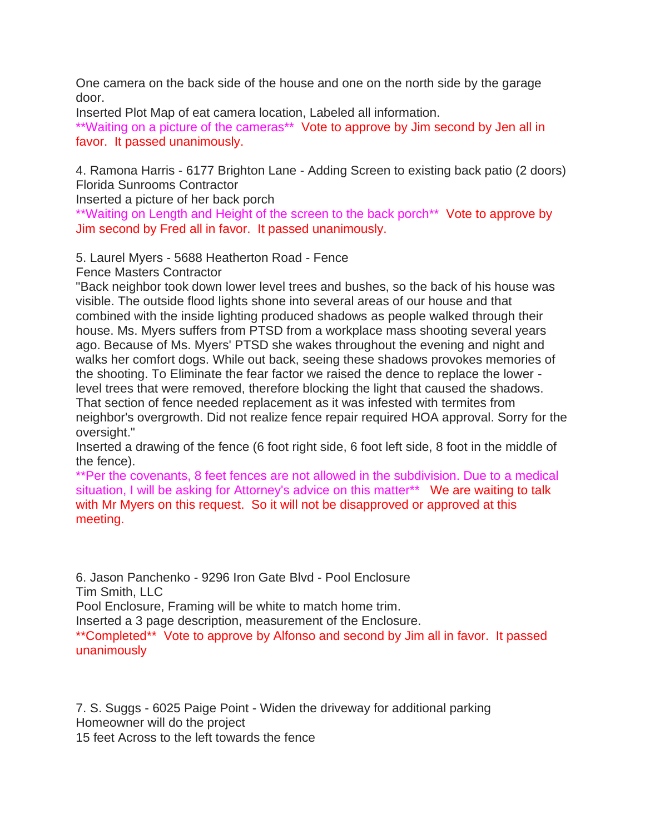One camera on the back side of the house and one on the north side by the garage door.

Inserted Plot Map of eat camera location, Labeled all information.

\*\*Waiting on a picture of the cameras\*\* Vote to approve by Jim second by Jen all in favor. It passed unanimously.

4. Ramona Harris - 6177 Brighton Lane - Adding Screen to existing back patio (2 doors) Florida Sunrooms Contractor

Inserted a picture of her back porch

\*\*Waiting on Length and Height of the screen to the back porch<sup>\*\*</sup> Vote to approve by Jim second by Fred all in favor. It passed unanimously.

5. Laurel Myers - 5688 Heatherton Road - Fence

Fence Masters Contractor

"Back neighbor took down lower level trees and bushes, so the back of his house was visible. The outside flood lights shone into several areas of our house and that combined with the inside lighting produced shadows as people walked through their house. Ms. Myers suffers from PTSD from a workplace mass shooting several years ago. Because of Ms. Myers' PTSD she wakes throughout the evening and night and walks her comfort dogs. While out back, seeing these shadows provokes memories of the shooting. To Eliminate the fear factor we raised the dence to replace the lower level trees that were removed, therefore blocking the light that caused the shadows. That section of fence needed replacement as it was infested with termites from neighbor's overgrowth. Did not realize fence repair required HOA approval. Sorry for the oversight."

Inserted a drawing of the fence (6 foot right side, 6 foot left side, 8 foot in the middle of the fence).

\*\*Per the covenants, 8 feet fences are not allowed in the subdivision. Due to a medical situation, I will be asking for Attorney's advice on this matter\*\* We are waiting to talk with Mr Myers on this request. So it will not be disapproved or approved at this meeting.

6. Jason Panchenko - 9296 Iron Gate Blvd - Pool Enclosure Tim Smith, LLC

Pool Enclosure, Framing will be white to match home trim.

Inserted a 3 page description, measurement of the Enclosure.

\*\*Completed\*\* Vote to approve by Alfonso and second by Jim all in favor. It passed unanimously

7. S. Suggs - 6025 Paige Point - Widen the driveway for additional parking Homeowner will do the project 15 feet Across to the left towards the fence